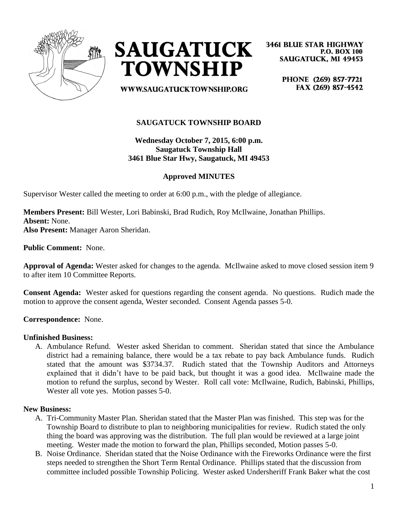



**3461 BLUE STAR HIGHWAY P.O. BOX 100 SAUGATUCK, MI 49453** 

**WWW.SAUGATUCKTOWNSHIP.ORG** 

PHONE (269) 857-7721 FAX (269) 857-4542

## **SAUGATUCK TOWNSHIP BOARD**

## **Wednesday October 7, 2015, 6:00 p.m. Saugatuck Township Hall 3461 Blue Star Hwy, Saugatuck, MI 49453**

### **Approved MINUTES**

Supervisor Wester called the meeting to order at 6:00 p.m., with the pledge of allegiance.

**Members Present:** Bill Wester, Lori Babinski, Brad Rudich, Roy McIlwaine, Jonathan Phillips. **Absent:** None. **Also Present:** Manager Aaron Sheridan.

**Public Comment:** None.

**Approval of Agenda:** Wester asked for changes to the agenda. McIlwaine asked to move closed session item 9 to after item 10 Committee Reports.

**Consent Agenda:** Wester asked for questions regarding the consent agenda. No questions. Rudich made the motion to approve the consent agenda, Wester seconded. Consent Agenda passes 5-0.

**Correspondence:** None.

#### **Unfinished Business:**

A. Ambulance Refund. Wester asked Sheridan to comment. Sheridan stated that since the Ambulance district had a remaining balance, there would be a tax rebate to pay back Ambulance funds. Rudich stated that the amount was \$3734.37. Rudich stated that the Township Auditors and Attorneys explained that it didn't have to be paid back, but thought it was a good idea. McIlwaine made the motion to refund the surplus, second by Wester. Roll call vote: McIlwaine, Rudich, Babinski, Phillips, Wester all vote yes. Motion passes 5-0.

#### **New Business:**

- A. Tri-Community Master Plan. Sheridan stated that the Master Plan was finished. This step was for the Township Board to distribute to plan to neighboring municipalities for review. Rudich stated the only thing the board was approving was the distribution. The full plan would be reviewed at a large joint meeting. Wester made the motion to forward the plan, Phillips seconded, Motion passes 5-0.
- B. Noise Ordinance. Sheridan stated that the Noise Ordinance with the Fireworks Ordinance were the first steps needed to strengthen the Short Term Rental Ordinance. Phillips stated that the discussion from committee included possible Township Policing. Wester asked Undersheriff Frank Baker what the cost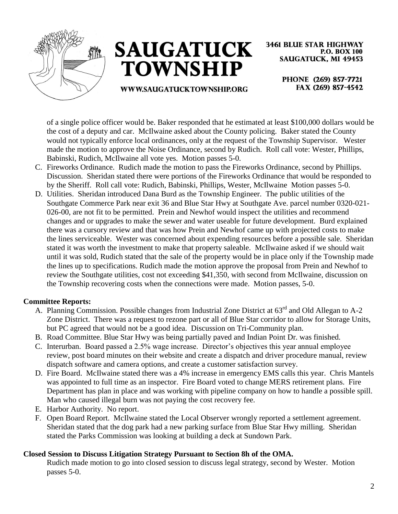



**3461 BLUE STAR HIGHWAY P.O. BOX 100 SAUGATUCK, MI 49453** 

## **WWW.SAUGATUCKTOWNSHIP.ORG**

PHONE (269) 857-7721 FAX (269) 857-4542

of a single police officer would be. Baker responded that he estimated at least \$100,000 dollars would be the cost of a deputy and car. McIlwaine asked about the County policing. Baker stated the County would not typically enforce local ordinances, only at the request of the Township Supervisor. Wester made the motion to approve the Noise Ordinance, second by Rudich. Roll call vote: Wester, Phillips, Babinski, Rudich, McIlwaine all vote yes. Motion passes 5-0.

- C. Fireworks Ordinance. Rudich made the motion to pass the Fireworks Ordinance, second by Phillips. Discussion. Sheridan stated there were portions of the Fireworks Ordinance that would be responded to by the Sheriff. Roll call vote: Rudich, Babinski, Phillips, Wester, McIlwaine Motion passes 5-0.
- D. Utilities. Sheridan introduced Dana Burd as the Township Engineer. The public utilities of the Southgate Commerce Park near exit 36 and Blue Star Hwy at Southgate Ave. parcel number 0320-021- 026-00, are not fit to be permitted. Prein and Newhof would inspect the utilities and recommend changes and or upgrades to make the sewer and water useable for future development. Burd explained there was a cursory review and that was how Prein and Newhof came up with projected costs to make the lines serviceable. Wester was concerned about expending resources before a possible sale. Sheridan stated it was worth the investment to make that property saleable. McIlwaine asked if we should wait until it was sold, Rudich stated that the sale of the property would be in place only if the Township made the lines up to specifications. Rudich made the motion approve the proposal from Prein and Newhof to review the Southgate utilities, cost not exceeding \$41,350, with second from McIlwaine, discussion on the Township recovering costs when the connections were made. Motion passes, 5-0.

# **Committee Reports:**

- A. Planning Commission. Possible changes from Industrial Zone District at 63<sup>rd</sup> and Old Allegan to A-2 Zone District. There was a request to rezone part or all of Blue Star corridor to allow for Storage Units, but PC agreed that would not be a good idea. Discussion on Tri-Community plan.
- B. Road Committee. Blue Star Hwy was being partially paved and Indian Point Dr. was finished.
- C. Interurban. Board passed a 2.5% wage increase. Director's objectives this year annual employee review, post board minutes on their website and create a dispatch and driver procedure manual, review dispatch software and camera options, and create a customer satisfaction survey.
- D. Fire Board. McIlwaine stated there was a 4% increase in emergency EMS calls this year. Chris Mantels was appointed to full time as an inspector. Fire Board voted to change MERS retirement plans. Fire Department has plan in place and was working with pipeline company on how to handle a possible spill. Man who caused illegal burn was not paying the cost recovery fee.
- E. Harbor Authority. No report.
- F. Open Board Report. McIlwaine stated the Local Observer wrongly reported a settlement agreement. Sheridan stated that the dog park had a new parking surface from Blue Star Hwy milling. Sheridan stated the Parks Commission was looking at building a deck at Sundown Park.

# **Closed Session to Discuss Litigation Strategy Pursuant to Section 8h of the OMA.**

Rudich made motion to go into closed session to discuss legal strategy, second by Wester. Motion passes 5-0.